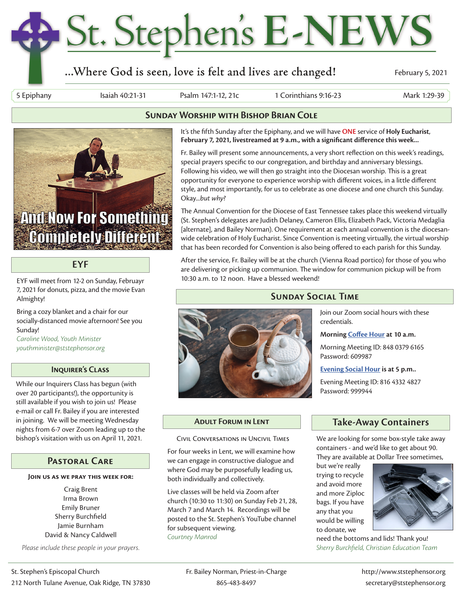# St. Stephen's E-NEWS

# ...Where God is seen, love is felt and lives are changed!

February 5, 2021

5 Epiphany Isaiah 40:21-31 Psalm 147:1-12, 21c 1 Corinthians 9:16-23 Mark 1:29-39



## **EYF**

EYF will meet from 12-2 on Sunday, Februayr 7, 2021 for donuts, pizza, and the movie Evan Almighty!

Bring a cozy blanket and a chair for our socially-distanced movie afternoon! See you Sunday!

*Caroline Wood, Youth Minister youthminister@ststephensor.org*

## **Inquirer's Class**

While our Inquirers Class has begun (with over 20 participants!), the opportunity is still available if you wish to join us! Please e-mail or call Fr. Bailey if you are interested in joining. We will be meeting Wednesday nights from 6-7 over Zoom leading up to the bishop's visitation with us on April 11, 2021.

## **Pastoral Care**

### **Join us as we pray this week for:**

Craig Brent Irma Brown Emily Bruner Sherry Burchfield Jamie Burnham David & Nancy Caldwell

*Please include these people in your prayers.*



## **Sunday Worship with Bishop Brian Cole**

It's the fifth Sunday after the Epiphany, and we will have **ONE** service of **Holy Eucharist**, **February 7, 2021, livestreamed at 9 a.m., with a significant difference this week...**

Fr. Bailey will present some announcements, a very short reflection on this week's readings, special prayers specific to our congregation, and birthday and anniversary blessings. Following his video, we will then go straight into the Diocesan worship. This is a great opportunity for everyone to experience worship with different voices, in a little different style, and most importantly, for us to celebrate as one diocese and one church this Sunday. Okay...*but why?*

The Annual Convention for the Diocese of East Tennessee takes place this weekend virtually (St. Stephen's delegates are Judith Delaney, Cameron Ellis, Elizabeth Pack, Victoria Medaglia [alternate], and Bailey Norman). One requirement at each annual convention is the diocesanwide celebration of Holy Eucharist. Since Convention is meeting virtually, the virtual worship that has been recorded for Convention is also being offered to each parish for this Sunday.

After the service, Fr. Bailey will be at the church (Vienna Road portico) for those of you who are delivering or picking up communion. The window for communion pickup will be from 10:30 a.m. to 12 noon. Have a blessed weekend!

## **Sunday Social Time**



**Morning Coffee Hour at 10 a.m.**

Morning Meeting ID: 848 0379 6165 Password: 609987

**Evening Social Hour is at 5 p.m..**

Evening Meeting ID: 816 4332 4827 Password: 999944

Civil Conversations in Uncivil Times

For four weeks in Lent, we will examine how we can engage in constructive dialogue and where God may be purposefully leading us, both individually and collectively.

Live classes will be held via Zoom after church (10:30 to 11:30) on Sunday Feb 21, 28, March 7 and March 14. Recordings will be posted to the St. Stephen's YouTube channel for subsequent viewing. *Courtney Manrod*

## **Adult Forum in Lent Take-Away Containers**

We are looking for some box-style take away containers - and we'd like to get about 90. They are available at Dollar Tree sometimes,

but we're really trying to recycle and avoid more and more Ziploc bags. If you have any that you would be willing to donate, we



need the bottoms and lids! Thank you! *Sherry Burchfield, Christian Education Team*